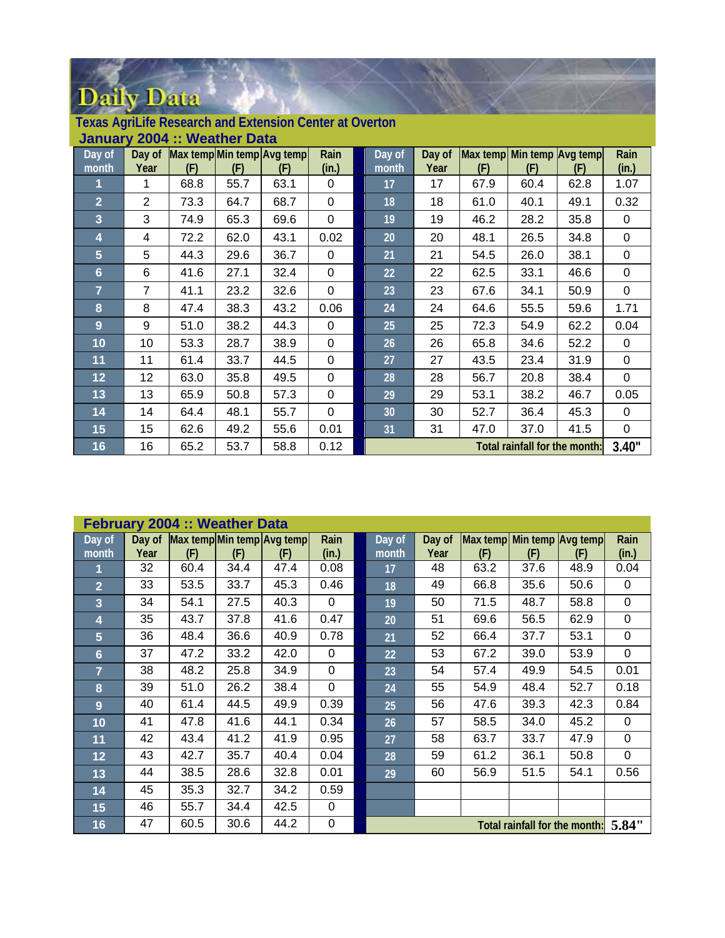| January 2004 :: Weather Data |                 |      |      |                            |              |  |                 |        |                            |                               |      |             |
|------------------------------|-----------------|------|------|----------------------------|--------------|--|-----------------|--------|----------------------------|-------------------------------|------|-------------|
| Day of                       | Day of          |      |      | Max temp Min temp Avg temp | Rain         |  | Day of          | Day of | Max temp Min temp Avg temp |                               |      | Rain        |
| month                        | Year            | (F)  | (F)  | (F)                        | (in.)        |  | month           | Year   | (F)                        | (F)                           | (F)  | (in.)       |
| 1                            | 1               | 68.8 | 55.7 | 63.1                       | $\mathbf{0}$ |  | 17              | 17     | 67.9                       | 60.4                          | 62.8 | 1.07        |
| $\overline{2}$               | $\overline{2}$  | 73.3 | 64.7 | 68.7                       | $\mathbf 0$  |  | 18              | 18     | 61.0                       | 40.1                          | 49.1 | 0.32        |
| $\overline{3}$               | 3               | 74.9 | 65.3 | 69.6                       | $\mathbf 0$  |  | 19              | 19     | 46.2                       | 28.2                          | 35.8 | 0           |
| 4                            | 4               | 72.2 | 62.0 | 43.1                       | 0.02         |  | 20              | 20     | 48.1                       | 26.5                          | 34.8 | $\mathbf 0$ |
| $5\phantom{.}$               | 5               | 44.3 | 29.6 | 36.7                       | $\Omega$     |  | 21              | 21     | 54.5                       | 26.0                          | 38.1 | $\mathbf 0$ |
| 6                            | 6               | 41.6 | 27.1 | 32.4                       | $\mathbf{0}$ |  | 22              | 22     | 62.5                       | 33.1                          | 46.6 | 0           |
| $\overline{7}$               | $\overline{7}$  | 41.1 | 23.2 | 32.6                       | $\mathbf{0}$ |  | 23              | 23     | 67.6                       | 34.1                          | 50.9 | $\mathbf 0$ |
| 8                            | 8               | 47.4 | 38.3 | 43.2                       | 0.06         |  | 24              | 24     | 64.6                       | 55.5                          | 59.6 | 1.71        |
| 9                            | 9               | 51.0 | 38.2 | 44.3                       | $\mathbf{0}$ |  | 25 <sub>1</sub> | 25     | 72.3                       | 54.9                          | 62.2 | 0.04        |
| 10                           | 10              | 53.3 | 28.7 | 38.9                       | $\mathbf 0$  |  | 26              | 26     | 65.8                       | 34.6                          | 52.2 | 0           |
| 11                           | 11              | 61.4 | 33.7 | 44.5                       | $\mathbf{0}$ |  | 27              | 27     | 43.5                       | 23.4                          | 31.9 | 0           |
| 12                           | 12 <sub>2</sub> | 63.0 | 35.8 | 49.5                       | $\mathbf{0}$ |  | 28              | 28     | 56.7                       | 20.8                          | 38.4 | $\mathbf 0$ |
| 13                           | 13              | 65.9 | 50.8 | 57.3                       | $\mathbf{0}$ |  | 29              | 29     | 53.1                       | 38.2                          | 46.7 | 0.05        |
| 14                           | 14              | 64.4 | 48.1 | 55.7                       | $\mathbf{0}$ |  | 30              | 30     | 52.7                       | 36.4                          | 45.3 | 0           |
| 15                           | 15              | 62.6 | 49.2 | 55.6                       | 0.01         |  | 31              | 31     | 47.0                       | 37.0                          | 41.5 | $\mathbf 0$ |
| 16                           | 16              | 65.2 | 53.7 | 58.8                       | 0.12         |  |                 |        |                            | Total rainfall for the month: |      | 3.40"       |

| <b>Texas AgriLife Research and Extension Center at Overton</b> |  |
|----------------------------------------------------------------|--|
|----------------------------------------------------------------|--|

| <b>February 2004 :: Weather Data</b> |                                                                        |      |      |                                   |          |  |        |        |                            |      |      |       |
|--------------------------------------|------------------------------------------------------------------------|------|------|-----------------------------------|----------|--|--------|--------|----------------------------|------|------|-------|
| Day of                               |                                                                        |      |      | Day of Max temp Min temp Avg temp | Rain     |  | Day of | Day of | Max temp Min temp Avg temp |      |      | Rain  |
| month                                | Year                                                                   | (F)  | (F)  | (F)                               | (in.)    |  | month  | Year   | (F)                        | (F)  | (F)  | (in.) |
|                                      | 32                                                                     | 60.4 | 34.4 | 47.4                              | 0.08     |  | 17     | 48     | 63.2                       | 37.6 | 48.9 | 0.04  |
| $\overline{2}$                       | 33                                                                     | 53.5 | 33.7 | 45.3                              | 0.46     |  | 18     | 49     | 66.8                       | 35.6 | 50.6 | 0     |
| $\overline{3}$                       | 34                                                                     | 54.1 | 27.5 | 40.3                              | $\Omega$ |  | 19     | 50     | 71.5                       | 48.7 | 58.8 | 0     |
| 4                                    | 35                                                                     | 43.7 | 37.8 | 41.6                              | 0.47     |  | 20     | 51     | 69.6                       | 56.5 | 62.9 | 0     |
| 5                                    | 36                                                                     | 48.4 | 36.6 | 40.9                              | 0.78     |  | 21     | 52     | 66.4                       | 37.7 | 53.1 | 0     |
| 6                                    | 37                                                                     | 47.2 | 33.2 | 42.0                              | $\Omega$ |  | 22     | 53     | 67.2                       | 39.0 | 53.9 | 0     |
| $\overline{7}$                       | 38                                                                     | 48.2 | 25.8 | 34.9                              | $\Omega$ |  | 23     | 54     | 57.4                       | 49.9 | 54.5 | 0.01  |
| 8                                    | 39                                                                     | 51.0 | 26.2 | 38.4                              | $\Omega$ |  | 24     | 55     | 54.9                       | 48.4 | 52.7 | 0.18  |
| 9                                    | 40                                                                     | 61.4 | 44.5 | 49.9                              | 0.39     |  | 25     | 56     | 47.6                       | 39.3 | 42.3 | 0.84  |
| 10                                   | 41                                                                     | 47.8 | 41.6 | 44.1                              | 0.34     |  | 26     | 57     | 58.5                       | 34.0 | 45.2 | 0     |
| 11                                   | 42                                                                     | 43.4 | 41.2 | 41.9                              | 0.95     |  | 27     | 58     | 63.7                       | 33.7 | 47.9 | 0     |
| 12                                   | 43                                                                     | 42.7 | 35.7 | 40.4                              | 0.04     |  | 28     | 59     | 61.2                       | 36.1 | 50.8 | 0     |
| 13                                   | 44                                                                     | 38.5 | 28.6 | 32.8                              | 0.01     |  | 29     | 60     | 56.9                       | 51.5 | 54.1 | 0.56  |
| 14                                   | 45                                                                     | 35.3 | 32.7 | 34.2                              | 0.59     |  |        |        |                            |      |      |       |
| 15                                   | 46                                                                     | 55.7 | 34.4 | 42.5                              | 0        |  |        |        |                            |      |      |       |
| 16                                   | 0<br>47<br>60.5<br>30.6<br>44.2<br>Total rainfall for the month: 5.84" |      |      |                                   |          |  |        |        |                            |      |      |       |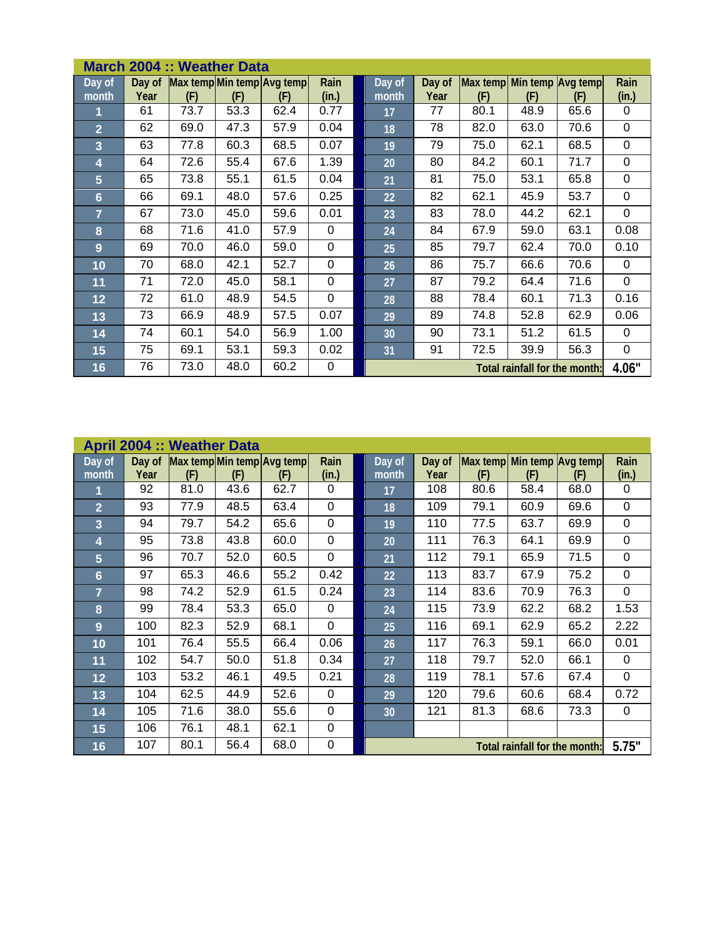| March 2004 :: Weather Data   |                |      |      |                                   |               |  |                 |                |                                   |                               |      |               |
|------------------------------|----------------|------|------|-----------------------------------|---------------|--|-----------------|----------------|-----------------------------------|-------------------------------|------|---------------|
| $\overline{Day}$ of<br>month | Day of<br>Year | (F)  | (F)  | Max temp Min temp Avg temp<br>(F) | Rain<br>(in.) |  | Day of<br>month | Day of<br>Year | Max temp Min temp Avg temp<br>(F) | (F)                           | (F)  | Rain<br>(in.) |
| 1                            | 61             | 73.7 | 53.3 | 62.4                              | 0.77          |  | 17              | 77             | 80.1                              | 48.9                          | 65.6 | 0             |
| $\overline{2}$               | 62             | 69.0 | 47.3 | 57.9                              | 0.04          |  | 18              | 78             | 82.0                              | 63.0                          | 70.6 | 0             |
| 3                            | 63             | 77.8 | 60.3 | 68.5                              | 0.07          |  | 19              | 79             | 75.0                              | 62.1                          | 68.5 | $\mathbf 0$   |
| 4                            | 64             | 72.6 | 55.4 | 67.6                              | 1.39          |  | 20              | 80             | 84.2                              | 60.1                          | 71.7 | 0             |
| 5                            | 65             | 73.8 | 55.1 | 61.5                              | 0.04          |  | 21              | 81             | 75.0                              | 53.1                          | 65.8 | $\mathbf 0$   |
| $6\phantom{1}6$              | 66             | 69.1 | 48.0 | 57.6                              | 0.25          |  | 22              | 82             | 62.1                              | 45.9                          | 53.7 | 0             |
| $\overline{7}$               | 67             | 73.0 | 45.0 | 59.6                              | 0.01          |  | 23              | 83             | 78.0                              | 44.2                          | 62.1 | 0             |
| 8                            | 68             | 71.6 | 41.0 | 57.9                              | 0             |  | 24              | 84             | 67.9                              | 59.0                          | 63.1 | 0.08          |
| 9                            | 69             | 70.0 | 46.0 | 59.0                              | $\mathbf 0$   |  | 25              | 85             | 79.7                              | 62.4                          | 70.0 | 0.10          |
| 10                           | 70             | 68.0 | 42.1 | 52.7                              | $\mathbf 0$   |  | 26              | 86             | 75.7                              | 66.6                          | 70.6 | $\mathbf 0$   |
| 11                           | 71             | 72.0 | 45.0 | 58.1                              | $\mathbf 0$   |  | 27              | 87             | 79.2                              | 64.4                          | 71.6 | $\mathbf 0$   |
| 12                           | 72             | 61.0 | 48.9 | 54.5                              | $\mathbf 0$   |  | 28              | 88             | 78.4                              | 60.1                          | 71.3 | 0.16          |
| 13                           | 73             | 66.9 | 48.9 | 57.5                              | 0.07          |  | 29              | 89             | 74.8                              | 52.8                          | 62.9 | 0.06          |
| 14                           | 74             | 60.1 | 54.0 | 56.9                              | 1.00          |  | 30              | 90             | 73.1                              | 51.2                          | 61.5 | 0             |
| 15                           | 75             | 69.1 | 53.1 | 59.3                              | 0.02          |  | 31              | 91             | 72.5                              | 39.9                          | 56.3 | 0             |
| 16                           | 76             | 73.0 | 48.0 | 60.2                              | 0             |  |                 |                |                                   | Total rainfall for the month: |      | 4.06"         |

| <b>April 2004 :: Weather Data</b> |      |      |      |                                          |                |  |                 |                |                                   |                               |      |               |
|-----------------------------------|------|------|------|------------------------------------------|----------------|--|-----------------|----------------|-----------------------------------|-------------------------------|------|---------------|
| Day of<br>month                   | Year | (F)  | (F)  | Day of Max temp Min temp Avg temp<br>(F) | Rain<br>(in.)  |  | Day of<br>month | Day of<br>Year | Max temp Min temp Avg temp<br>(F) | (F)                           | (F)  | Rain<br>(in.) |
| 1                                 | 92   | 81.0 | 43.6 | 62.7                                     | 0              |  | 17              | 108            | 80.6                              | 58.4                          | 68.0 | 0             |
| $\overline{2}$                    | 93   | 77.9 | 48.5 | 63.4                                     | $\Omega$       |  | 18              | 109            | 79.1                              | 60.9                          | 69.6 | 0             |
| 3                                 | 94   | 79.7 | 54.2 | 65.6                                     | $\overline{0}$ |  | 19              | 110            | 77.5                              | 63.7                          | 69.9 | 0             |
| 4                                 | 95   | 73.8 | 43.8 | 60.0                                     | 0              |  | 20              | 111            | 76.3                              | 64.1                          | 69.9 | 0             |
| 5                                 | 96   | 70.7 | 52.0 | 60.5                                     | $\mathbf 0$    |  | 21              | 112            | 79.1                              | 65.9                          | 71.5 | 0             |
| 6                                 | 97   | 65.3 | 46.6 | 55.2                                     | 0.42           |  | 22              | 113            | 83.7                              | 67.9                          | 75.2 | 0             |
| $\overline{7}$                    | 98   | 74.2 | 52.9 | 61.5                                     | 0.24           |  | 23              | 114            | 83.6                              | 70.9                          | 76.3 | $\mathbf 0$   |
| 8                                 | 99   | 78.4 | 53.3 | 65.0                                     | $\Omega$       |  | 24              | 115            | 73.9                              | 62.2                          | 68.2 | 1.53          |
| 9                                 | 100  | 82.3 | 52.9 | 68.1                                     | 0              |  | 25              | 116            | 69.1                              | 62.9                          | 65.2 | 2.22          |
| 10                                | 101  | 76.4 | 55.5 | 66.4                                     | 0.06           |  | 26              | 117            | 76.3                              | 59.1                          | 66.0 | 0.01          |
| 11                                | 102  | 54.7 | 50.0 | 51.8                                     | 0.34           |  | 27              | 118            | 79.7                              | 52.0                          | 66.1 | 0             |
| 12                                | 103  | 53.2 | 46.1 | 49.5                                     | 0.21           |  | 28              | 119            | 78.1                              | 57.6                          | 67.4 | $\mathbf 0$   |
| 13                                | 104  | 62.5 | 44.9 | 52.6                                     | $\Omega$       |  | 29              | 120            | 79.6                              | 60.6                          | 68.4 | 0.72          |
| 14                                | 105  | 71.6 | 38.0 | 55.6                                     | $\overline{0}$ |  | 30 <sup>°</sup> | 121            | 81.3                              | 68.6                          | 73.3 | $\mathbf 0$   |
| 15                                | 106  | 76.1 | 48.1 | 62.1                                     | $\mathbf 0$    |  |                 |                |                                   |                               |      |               |
| 16                                | 107  | 80.1 | 56.4 | 68.0                                     | $\mathbf 0$    |  |                 |                |                                   | Total rainfall for the month: |      | 5.75"         |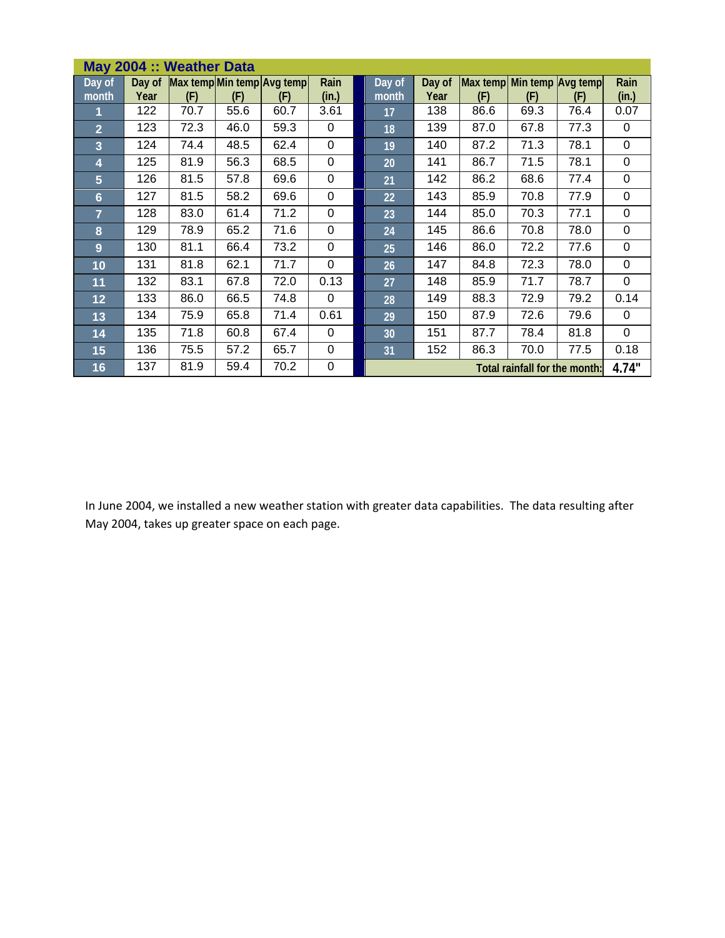| May 2004 :: Weather Data |                |      |      |                                   |               |  |                 |                |                                   |                               |      |               |
|--------------------------|----------------|------|------|-----------------------------------|---------------|--|-----------------|----------------|-----------------------------------|-------------------------------|------|---------------|
| Day of<br>month          | Day of<br>Year | (F)  | (F)  | Max temp Min temp Avg temp<br>(F) | Rain<br>(in.) |  | Day of<br>month | Day of<br>Year | Max temp Min temp Avg temp<br>(F) | (F)                           | (F)  | Rain<br>(in.) |
|                          | 122            | 70.7 | 55.6 | 60.7                              | 3.61          |  | 17              | 138            | 86.6                              | 69.3                          | 76.4 | 0.07          |
| $\overline{2}$           | 123            | 72.3 | 46.0 | 59.3                              | 0             |  | 18              | 139            | 87.0                              | 67.8                          | 77.3 | 0             |
| $\overline{3}$           | 124            | 74.4 | 48.5 | 62.4                              | $\mathbf 0$   |  | 19              | 140            | 87.2                              | 71.3                          | 78.1 | 0             |
| 4                        | 125            | 81.9 | 56.3 | 68.5                              | 0             |  | 20              | 141            | 86.7                              | 71.5                          | 78.1 | 0             |
| 5                        | 126            | 81.5 | 57.8 | 69.6                              | $\mathbf 0$   |  | 21              | 142            | 86.2                              | 68.6                          | 77.4 | 0             |
| 6                        | 127            | 81.5 | 58.2 | 69.6                              | 0             |  | 22              | 143            | 85.9                              | 70.8                          | 77.9 | 0             |
| 7                        | 128            | 83.0 | 61.4 | 71.2                              | 0             |  | 23              | 144            | 85.0                              | 70.3                          | 77.1 | 0             |
| 8                        | 129            | 78.9 | 65.2 | 71.6                              | $\mathbf 0$   |  | 24              | 145            | 86.6                              | 70.8                          | 78.0 | 0             |
| 9                        | 130            | 81.1 | 66.4 | 73.2                              | $\mathbf 0$   |  | 25              | 146            | 86.0                              | 72.2                          | 77.6 | 0             |
| 10                       | 131            | 81.8 | 62.1 | 71.7                              | $\mathbf 0$   |  | 26              | 147            | 84.8                              | 72.3                          | 78.0 | 0             |
| 11                       | 132            | 83.1 | 67.8 | 72.0                              | 0.13          |  | 27              | 148            | 85.9                              | 71.7                          | 78.7 | 0             |
| 12                       | 133            | 86.0 | 66.5 | 74.8                              | $\Omega$      |  | 28              | 149            | 88.3                              | 72.9                          | 79.2 | 0.14          |
| 13                       | 134            | 75.9 | 65.8 | 71.4                              | 0.61          |  | 29              | 150            | 87.9                              | 72.6                          | 79.6 | 0             |
| 14                       | 135            | 71.8 | 60.8 | 67.4                              | $\Omega$      |  | 30              | 151            | 87.7                              | 78.4                          | 81.8 | 0             |
| 15                       | 136            | 75.5 | 57.2 | 65.7                              | $\mathbf 0$   |  | 31              | 152            | 86.3                              | 70.0                          | 77.5 | 0.18          |
| 16                       | 137            | 81.9 | 59.4 | 70.2                              | $\mathbf 0$   |  |                 |                |                                   | Total rainfall for the month: |      | 4.74"         |

In June 2004, we installed a new weather station with greater data capabilities. The data resulting after May 2004, takes up greater space on each page.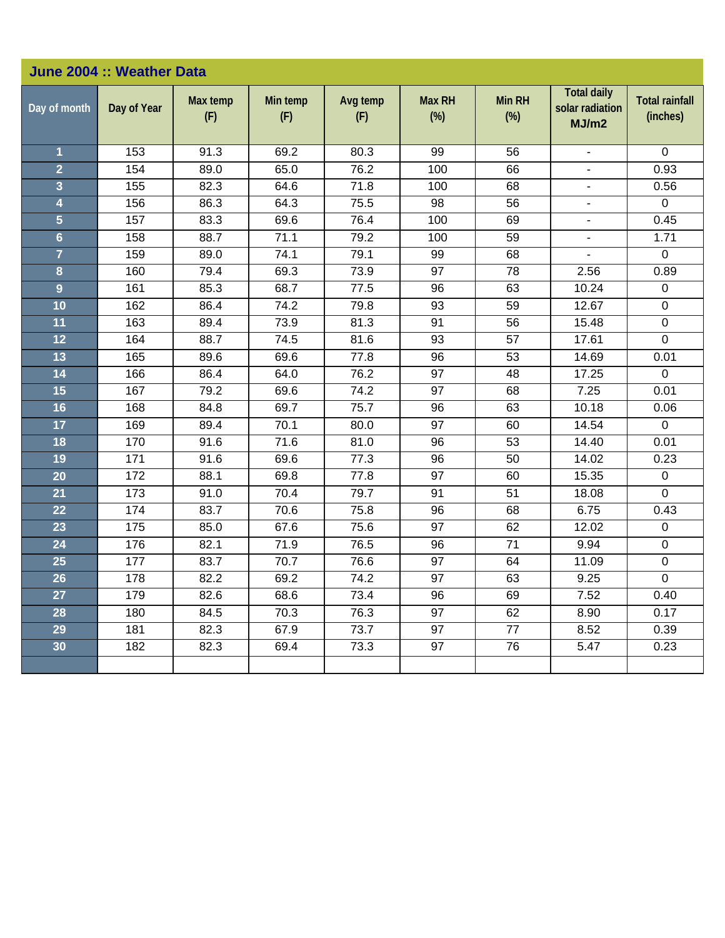|                | June 2004 :: Weather Data |                 |                 |                 |                         |                         |                                                |                                   |
|----------------|---------------------------|-----------------|-----------------|-----------------|-------------------------|-------------------------|------------------------------------------------|-----------------------------------|
| Day of month   | Day of Year               | Max temp<br>(F) | Min temp<br>(F) | Avg temp<br>(F) | <b>Max RH</b><br>$(\%)$ | <b>Min RH</b><br>$(\%)$ | <b>Total daily</b><br>solar radiation<br>MJ/m2 | <b>Total rainfall</b><br>(inches) |
| 1              | 153                       | 91.3            | 69.2            | 80.3            | 99                      | 56                      | $\overline{a}$                                 | $\Omega$                          |
| $\overline{2}$ | 154                       | 89.0            | 65.0            | 76.2            | 100                     | 66                      | ä,                                             | 0.93                              |
| 3              | 155                       | 82.3            | 64.6            | 71.8            | 100                     | 68                      | $\overline{\phantom{a}}$                       | 0.56                              |
| 4              | 156                       | 86.3            | 64.3            | 75.5            | 98                      | 56                      |                                                | $\mathbf 0$                       |
| $\overline{5}$ | 157                       | 83.3            | 69.6            | 76.4            | 100                     | 69                      | $\blacksquare$                                 | 0.45                              |
| $6\phantom{a}$ | 158                       | 88.7            | 71.1            | 79.2            | 100                     | 59                      | $\blacksquare$                                 | 1.71                              |
| $\overline{7}$ | 159                       | 89.0            | 74.1            | 79.1            | 99                      | 68                      | ä,                                             | $\mathbf 0$                       |
| 8              | 160                       | 79.4            | 69.3            | 73.9            | 97                      | 78                      | 2.56                                           | 0.89                              |
| 9              | 161                       | 85.3            | 68.7            | 77.5            | 96                      | 63                      | 10.24                                          | $\pmb{0}$                         |
| 10             | 162                       | 86.4            | 74.2            | 79.8            | 93                      | 59                      | 12.67                                          | $\pmb{0}$                         |
| 11             | 163                       | 89.4            | 73.9            | 81.3            | 91                      | 56                      | 15.48                                          | 0                                 |
| 12             | 164                       | 88.7            | 74.5            | 81.6            | 93                      | 57                      | 17.61                                          | $\mathbf 0$                       |
| 13             | 165                       | 89.6            | 69.6            | 77.8            | 96                      | 53                      | 14.69                                          | 0.01                              |
| 14             | 166                       | 86.4            | 64.0            | 76.2            | 97                      | 48                      | 17.25                                          | $\mathbf 0$                       |
| 15             | 167                       | 79.2            | 69.6            | 74.2            | 97                      | 68                      | 7.25                                           | 0.01                              |
| 16             | 168                       | 84.8            | 69.7            | 75.7            | 96                      | 63                      | 10.18                                          | 0.06                              |
| 17             | 169                       | 89.4            | 70.1            | 80.0            | 97                      | 60                      | 14.54                                          | $\mathbf{0}$                      |
| 18             | 170                       | 91.6            | 71.6            | 81.0            | 96                      | 53                      | 14.40                                          | 0.01                              |
| 19             | 171                       | 91.6            | 69.6            | 77.3            | 96                      | 50                      | 14.02                                          | 0.23                              |
| 20             | 172                       | 88.1            | 69.8            | 77.8            | 97                      | 60                      | 15.35                                          | $\mathbf 0$                       |
| 21             | 173                       | 91.0            | 70.4            | 79.7            | 91                      | 51                      | 18.08                                          | $\Omega$                          |
| 22             | 174                       | 83.7            | 70.6            | 75.8            | 96                      | 68                      | 6.75                                           | 0.43                              |
| 23             | 175                       | 85.0            | 67.6            | 75.6            | 97                      | 62                      | 12.02                                          | $\mathbf 0$                       |
| 24             | 176                       | 82.1            | 71.9            | 76.5            | 96                      | 71                      | 9.94                                           | $\mathbf 0$                       |
| 25             | 177                       | 83.7            | 70.7            | 76.6            | 97                      | 64                      | 11.09                                          | $\pmb{0}$                         |
| 26             | 178                       | 82.2            | 69.2            | 74.2            | 97                      | 63                      | 9.25                                           | 0                                 |
| 27             | 179                       | 82.6            | 68.6            | 73.4            | $\overline{96}$         | 69                      | 7.52                                           | 0.40                              |
| 28             | 180                       | 84.5            | 70.3            | 76.3            | 97                      | 62                      | 8.90                                           | 0.17                              |
| 29             | 181                       | 82.3            | 67.9            | 73.7            | 97                      | 77                      | 8.52                                           | 0.39                              |
| 30             | 182                       | 82.3            | 69.4            | 73.3            | 97                      | 76                      | 5.47                                           | 0.23                              |
|                |                           |                 |                 |                 |                         |                         |                                                |                                   |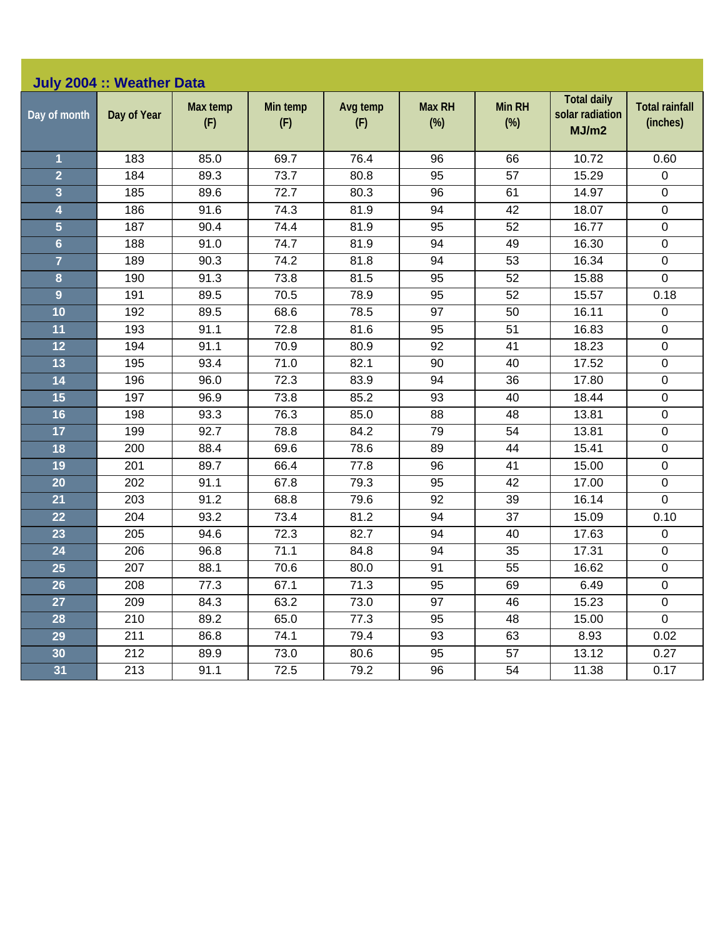|                | July 2004 :: Weather Data |                 |                 |                 |                         |                         |                                                |                                   |
|----------------|---------------------------|-----------------|-----------------|-----------------|-------------------------|-------------------------|------------------------------------------------|-----------------------------------|
| Day of month   | Day of Year               | Max temp<br>(F) | Min temp<br>(F) | Avg temp<br>(F) | <b>Max RH</b><br>$(\%)$ | <b>Min RH</b><br>$(\%)$ | <b>Total daily</b><br>solar radiation<br>MJ/m2 | <b>Total rainfall</b><br>(inches) |
| 1              | 183                       | 85.0            | 69.7            | 76.4            | 96                      | 66                      | 10.72                                          | 0.60                              |
| $\overline{2}$ | 184                       | 89.3            | 73.7            | 80.8            | 95                      | 57                      | 15.29                                          | $\mathbf 0$                       |
| 3              | 185                       | 89.6            | 72.7            | 80.3            | 96                      | 61                      | 14.97                                          | $\mathsf 0$                       |
| 4              | 186                       | 91.6            | 74.3            | 81.9            | 94                      | 42                      | 18.07                                          | $\pmb{0}$                         |
| $\overline{5}$ | 187                       | 90.4            | 74.4            | 81.9            | 95                      | 52                      | 16.77                                          | 0                                 |
| $6\phantom{a}$ | 188                       | 91.0            | 74.7            | 81.9            | 94                      | 49                      | 16.30                                          | $\boldsymbol{0}$                  |
| $\overline{7}$ | 189                       | 90.3            | 74.2            | 81.8            | 94                      | 53                      | 16.34                                          | $\mathbf 0$                       |
| 8              | 190                       | 91.3            | 73.8            | 81.5            | 95                      | 52                      | 15.88                                          | 0                                 |
| 9              | 191                       | 89.5            | 70.5            | 78.9            | 95                      | 52                      | 15.57                                          | 0.18                              |
| 10             | 192                       | 89.5            | 68.6            | 78.5            | 97                      | 50                      | 16.11                                          | 0                                 |
| 11             | 193                       | 91.1            | 72.8            | 81.6            | 95                      | 51                      | 16.83                                          | $\boldsymbol{0}$                  |
| 12             | 194                       | 91.1            | 70.9            | 80.9            | 92                      | 41                      | 18.23                                          | $\mathbf 0$                       |
| 13             | 195                       | 93.4            | 71.0            | 82.1            | 90                      | 40                      | 17.52                                          | $\mathsf 0$                       |
| 14             | 196                       | 96.0            | 72.3            | 83.9            | 94                      | 36                      | 17.80                                          | $\mathsf 0$                       |
| 15             | 197                       | 96.9            | 73.8            | 85.2            | 93                      | 40                      | 18.44                                          | 0                                 |
| 16             | 198                       | 93.3            | 76.3            | 85.0            | 88                      | 48                      | 13.81                                          | $\boldsymbol{0}$                  |
| 17             | 199                       | 92.7            | 78.8            | 84.2            | 79                      | 54                      | 13.81                                          | $\mathbf 0$                       |
| 18             | 200                       | 88.4            | 69.6            | 78.6            | 89                      | 44                      | 15.41                                          | $\mathsf 0$                       |
| 19             | 201                       | 89.7            | 66.4            | 77.8            | 96                      | 41                      | 15.00                                          | $\mathsf 0$                       |
| 20             | 202                       | 91.1            | 67.8            | 79.3            | 95                      | 42                      | 17.00                                          | 0                                 |
| 21             | 203                       | 91.2            | 68.8            | 79.6            | 92                      | 39                      | 16.14                                          | 0                                 |
| 22             | 204                       | 93.2            | 73.4            | 81.2            | 94                      | 37                      | 15.09                                          | 0.10                              |
| 23             | 205                       | 94.6            | 72.3            | 82.7            | 94                      | 40                      | 17.63                                          | $\mathsf 0$                       |
| 24             | 206                       | 96.8            | 71.1            | 84.8            | 94                      | 35                      | 17.31                                          | $\mathsf 0$                       |
| 25             | 207                       | 88.1            | 70.6            | 80.0            | 91                      | 55                      | 16.62                                          | $\mathbf 0$                       |
| 26             | 208                       | 77.3            | 67.1            | 71.3            | 95                      | 69                      | 6.49                                           | $\boldsymbol{0}$                  |
| 27             | 209                       | 84.3            | 63.2            | 73.0            | 97                      | 46                      | 15.23                                          | $\mathbf 0$                       |
| 28             | 210                       | 89.2            | 65.0            | 77.3            | 95                      | 48                      | 15.00                                          | $\mathbf 0$                       |
| 29             | 211                       | 86.8            | 74.1            | 79.4            | 93                      | 63                      | 8.93                                           | 0.02                              |
| 30             | 212                       | 89.9            | 73.0            | 80.6            | 95                      | 57                      | 13.12                                          | 0.27                              |
| 31             | 213                       | 91.1            | 72.5            | 79.2            | 96                      | 54                      | 11.38                                          | 0.17                              |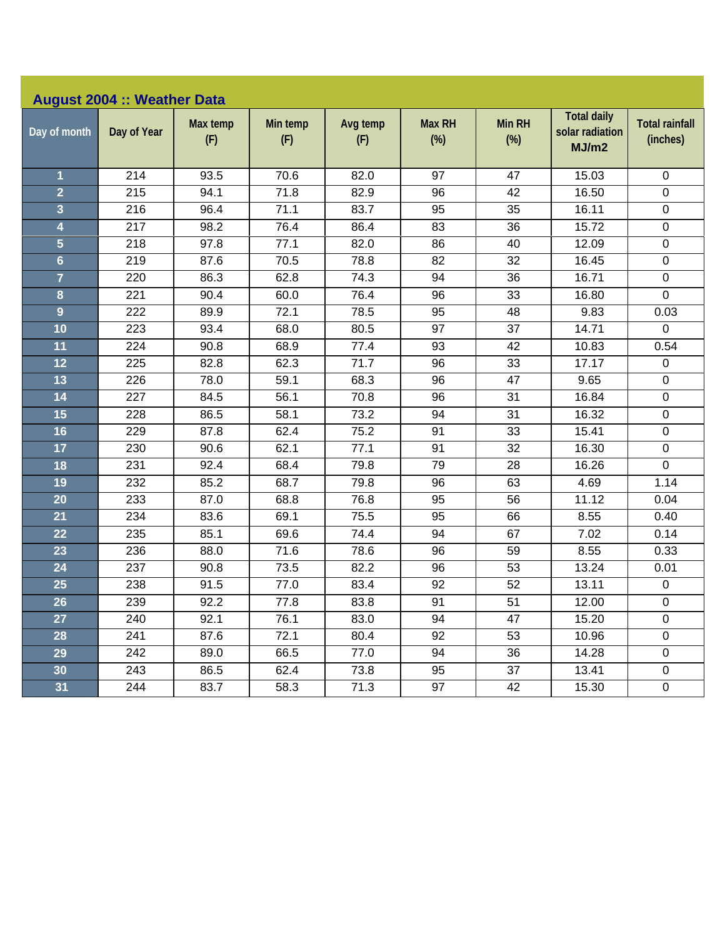|                         | <b>August 2004 :: Weather Data</b> |                 |                 |                 |                         |                      |                                                |                                   |
|-------------------------|------------------------------------|-----------------|-----------------|-----------------|-------------------------|----------------------|------------------------------------------------|-----------------------------------|
| Day of month            | Day of Year                        | Max temp<br>(F) | Min temp<br>(F) | Avg temp<br>(F) | <b>Max RH</b><br>$(\%)$ | <b>Min RH</b><br>(%) | <b>Total daily</b><br>solar radiation<br>MJ/m2 | <b>Total rainfall</b><br>(inches) |
| $\overline{\mathbf{1}}$ | 214                                | 93.5            | 70.6            | 82.0            | 97                      | 47                   | 15.03                                          | $\mathbf 0$                       |
| $\overline{2}$          | 215                                | 94.1            | 71.8            | 82.9            | 96                      | 42                   | 16.50                                          | $\pmb{0}$                         |
| 3                       | 216                                | 96.4            | 71.1            | 83.7            | 95                      | 35                   | 16.11                                          | $\mathbf 0$                       |
| 4                       | 217                                | 98.2            | 76.4            | 86.4            | 83                      | 36                   | 15.72                                          | $\boldsymbol{0}$                  |
| 5                       | 218                                | 97.8            | 77.1            | 82.0            | 86                      | 40                   | 12.09                                          | $\pmb{0}$                         |
| $6\phantom{a}$          | 219                                | 87.6            | 70.5            | 78.8            | 82                      | 32                   | 16.45                                          | $\pmb{0}$                         |
| $\overline{7}$          | 220                                | 86.3            | 62.8            | 74.3            | 94                      | 36                   | 16.71                                          | $\pmb{0}$                         |
| 8                       | 221                                | 90.4            | 60.0            | 76.4            | 96                      | 33                   | 16.80                                          | 0                                 |
| $\overline{9}$          | 222                                | 89.9            | 72.1            | 78.5            | 95                      | 48                   | 9.83                                           | 0.03                              |
| 10                      | 223                                | 93.4            | 68.0            | 80.5            | 97                      | 37                   | 14.71                                          | $\mathbf 0$                       |
| 11                      | 224                                | 90.8            | 68.9            | 77.4            | 93                      | 42                   | 10.83                                          | 0.54                              |
| 12                      | 225                                | 82.8            | 62.3            | 71.7            | 96                      | 33                   | 17.17                                          | $\mathbf 0$                       |
| 13                      | 226                                | 78.0            | 59.1            | 68.3            | 96                      | 47                   | 9.65                                           | $\mathbf 0$                       |
| 14                      | 227                                | 84.5            | 56.1            | 70.8            | 96                      | 31                   | 16.84                                          | $\pmb{0}$                         |
| 15                      | 228                                | 86.5            | 58.1            | 73.2            | 94                      | 31                   | 16.32                                          | $\pmb{0}$                         |
| 16                      | 229                                | 87.8            | 62.4            | 75.2            | 91                      | 33                   | 15.41                                          | $\pmb{0}$                         |
| 17                      | 230                                | 90.6            | 62.1            | 77.1            | 91                      | 32                   | 16.30                                          | $\pmb{0}$                         |
| 18                      | 231                                | 92.4            | 68.4            | 79.8            | 79                      | 28                   | 16.26                                          | 0                                 |
| 19                      | 232                                | 85.2            | 68.7            | 79.8            | 96                      | 63                   | 4.69                                           | 1.14                              |
| 20                      | 233                                | 87.0            | 68.8            | 76.8            | 95                      | 56                   | 11.12                                          | 0.04                              |
| 21                      | 234                                | 83.6            | 69.1            | 75.5            | 95                      | 66                   | 8.55                                           | 0.40                              |
| 22                      | 235                                | 85.1            | 69.6            | 74.4            | 94                      | 67                   | 7.02                                           | 0.14                              |
| 23                      | 236                                | 88.0            | 71.6            | 78.6            | 96                      | 59                   | 8.55                                           | 0.33                              |
| 24                      | 237                                | 90.8            | 73.5            | 82.2            | 96                      | 53                   | 13.24                                          | 0.01                              |
| 25                      | 238                                | 91.5            | 77.0            | 83.4            | 92                      | 52                   | 13.11                                          | $\pmb{0}$                         |
| 26                      | 239                                | 92.2            | 77.8            | 83.8            | 91                      | 51                   | 12.00                                          | $\pmb{0}$                         |
| 27                      | 240                                | 92.1            | 76.1            | 83.0            | 94                      | 47                   | 15.20                                          | $\mathbf 0$                       |
| 28                      | 241                                | 87.6            | 72.1            | 80.4            | 92                      | 53                   | 10.96                                          | $\pmb{0}$                         |
| 29                      | 242                                | 89.0            | 66.5            | 77.0            | 94                      | 36                   | 14.28                                          | 0                                 |
| 30                      | 243                                | 86.5            | 62.4            | 73.8            | 95                      | 37                   | 13.41                                          | $\mathbf 0$                       |
| 31                      | 244                                | 83.7            | 58.3            | 71.3            | 97                      | 42                   | 15.30                                          | $\mathbf 0$                       |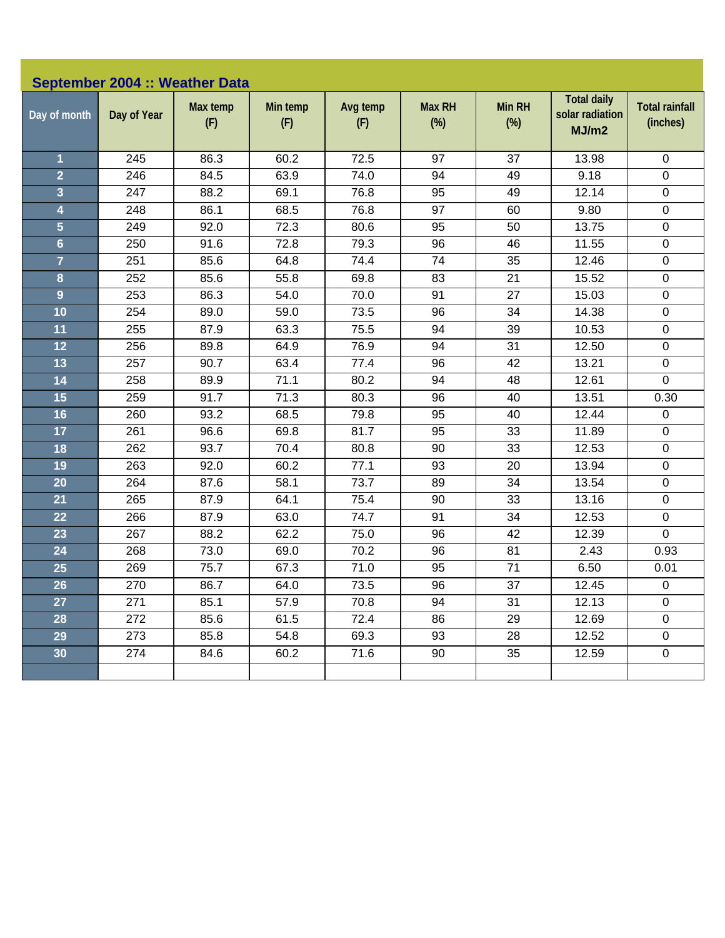|                         | September 2004 :: Weather Data |                 |                 |                 |                         |                         |                                                |                                   |
|-------------------------|--------------------------------|-----------------|-----------------|-----------------|-------------------------|-------------------------|------------------------------------------------|-----------------------------------|
| Day of month            | Day of Year                    | Max temp<br>(F) | Min temp<br>(F) | Avg temp<br>(F) | <b>Max RH</b><br>$(\%)$ | <b>Min RH</b><br>$(\%)$ | <b>Total daily</b><br>solar radiation<br>MJ/m2 | <b>Total rainfall</b><br>(inches) |
| 1                       | 245                            | 86.3            | 60.2            | 72.5            | 97                      | 37                      | 13.98                                          | 0                                 |
| $\overline{2}$          | 246                            | 84.5            | 63.9            | 74.0            | 94                      | 49                      | 9.18                                           | 0                                 |
| $\overline{\mathbf{3}}$ | 247                            | 88.2            | 69.1            | 76.8            | 95                      | 49                      | 12.14                                          | $\pmb{0}$                         |
| $\overline{\mathbf{4}}$ | 248                            | 86.1            | 68.5            | 76.8            | 97                      | 60                      | 9.80                                           | $\pmb{0}$                         |
| $\overline{\mathbf{5}}$ | 249                            | 92.0            | 72.3            | 80.6            | 95                      | 50                      | 13.75                                          | $\boldsymbol{0}$                  |
| $6\phantom{a}$          | 250                            | 91.6            | 72.8            | 79.3            | 96                      | 46                      | 11.55                                          | $\pmb{0}$                         |
| $\overline{7}$          | 251                            | 85.6            | 64.8            | 74.4            | 74                      | 35                      | 12.46                                          | $\pmb{0}$                         |
| 8                       | 252                            | 85.6            | 55.8            | 69.8            | 83                      | 21                      | 15.52                                          | $\pmb{0}$                         |
| $\overline{9}$          | 253                            | 86.3            | 54.0            | 70.0            | 91                      | 27                      | 15.03                                          | $\pmb{0}$                         |
| 10                      | 254                            | 89.0            | 59.0            | 73.5            | 96                      | 34                      | 14.38                                          | $\boldsymbol{0}$                  |
| 11                      | 255                            | 87.9            | 63.3            | 75.5            | 94                      | 39                      | 10.53                                          | $\pmb{0}$                         |
| 12                      | 256                            | 89.8            | 64.9            | 76.9            | 94                      | 31                      | 12.50                                          | $\pmb{0}$                         |
| 13                      | 257                            | 90.7            | 63.4            | 77.4            | 96                      | 42                      | 13.21                                          | $\pmb{0}$                         |
| 14                      | 258                            | 89.9            | 71.1            | 80.2            | 94                      | 48                      | 12.61                                          | 0                                 |
| 15                      | 259                            | 91.7            | 71.3            | 80.3            | 96                      | 40                      | 13.51                                          | 0.30                              |
| 16                      | 260                            | 93.2            | 68.5            | 79.8            | 95                      | 40                      | 12.44                                          | 0                                 |
| 17                      | 261                            | 96.6            | 69.8            | 81.7            | 95                      | 33                      | 11.89                                          | 0                                 |
| 18                      | 262                            | 93.7            | 70.4            | 80.8            | 90                      | 33                      | 12.53                                          | $\pmb{0}$                         |
| 19                      | 263                            | 92.0            | 60.2            | 77.1            | 93                      | 20                      | 13.94                                          | $\pmb{0}$                         |
| 20                      | 264                            | 87.6            | 58.1            | 73.7            | 89                      | 34                      | 13.54                                          | $\boldsymbol{0}$                  |
| 21                      | 265                            | 87.9            | 64.1            | 75.4            | 90                      | 33                      | 13.16                                          | $\pmb{0}$                         |
| 22                      | 266                            | 87.9            | 63.0            | 74.7            | 91                      | 34                      | 12.53                                          | 0                                 |
| 23                      | 267                            | 88.2            | 62.2            | 75.0            | 96                      | 42                      | 12.39                                          | $\mathbf 0$                       |
| 24                      | 268                            | 73.0            | 69.0            | 70.2            | 96                      | 81                      | 2.43                                           | 0.93                              |
| 25                      | 269                            | 75.7            | 67.3            | 71.0            | 95                      | 71                      | 6.50                                           | 0.01                              |
| 26                      | 270                            | 86.7            | 64.0            | 73.5            | 96                      | 37                      | 12.45                                          | $\pmb{0}$                         |
| 27                      | 271                            | 85.1            | 57.9            | 70.8            | 94                      | 31                      | 12.13                                          | $\mathbf 0$                       |
| 28                      | 272                            | 85.6            | 61.5            | 72.4            | 86                      | 29                      | 12.69                                          | $\pmb{0}$                         |
| 29                      | 273                            | 85.8            | 54.8            | 69.3            | 93                      | 28                      | 12.52                                          | $\mathbf 0$                       |
| 30                      | 274                            | 84.6            | 60.2            | 71.6            | 90                      | 35                      | 12.59                                          | $\pmb{0}$                         |
|                         |                                |                 |                 |                 |                         |                         |                                                |                                   |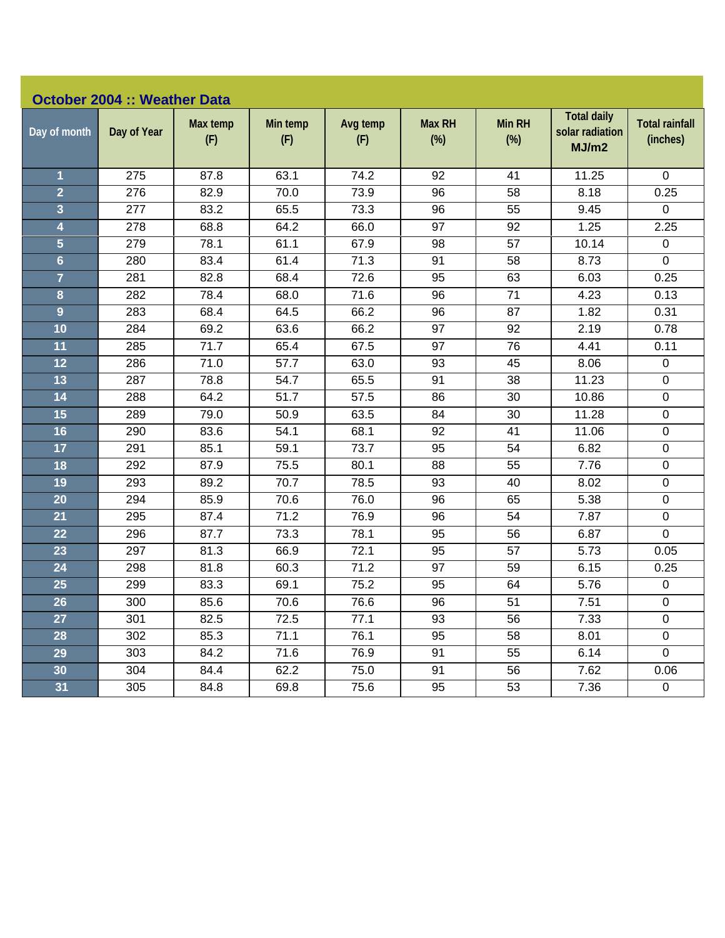|                | <b>October 2004 :: Weather Data</b> |                 |                 |                 |                      |                      |                                                |                                   |
|----------------|-------------------------------------|-----------------|-----------------|-----------------|----------------------|----------------------|------------------------------------------------|-----------------------------------|
| Day of month   | Day of Year                         | Max temp<br>(F) | Min temp<br>(F) | Avg temp<br>(F) | <b>Max RH</b><br>(%) | <b>Min RH</b><br>(%) | <b>Total daily</b><br>solar radiation<br>MJ/m2 | <b>Total rainfall</b><br>(inches) |
| $\mathbf{1}$   | 275                                 | 87.8            | 63.1            | 74.2            | 92                   | 41                   | 11.25                                          | 0                                 |
| $\overline{2}$ | 276                                 | 82.9            | 70.0            | 73.9            | 96                   | 58                   | 8.18                                           | 0.25                              |
| 3              | 277                                 | 83.2            | 65.5            | 73.3            | 96                   | 55                   | 9.45                                           | 0                                 |
| 4              | 278                                 | 68.8            | 64.2            | 66.0            | 97                   | 92                   | 1.25                                           | 2.25                              |
| 5              | 279                                 | 78.1            | 61.1            | 67.9            | 98                   | 57                   | 10.14                                          | $\mathbf 0$                       |
| $6\phantom{a}$ | 280                                 | 83.4            | 61.4            | 71.3            | 91                   | 58                   | 8.73                                           | 0                                 |
| $\overline{7}$ | 281                                 | 82.8            | 68.4            | 72.6            | 95                   | 63                   | 6.03                                           | 0.25                              |
| 8              | 282                                 | 78.4            | 68.0            | 71.6            | 96                   | 71                   | 4.23                                           | 0.13                              |
| 9              | 283                                 | 68.4            | 64.5            | 66.2            | 96                   | 87                   | 1.82                                           | 0.31                              |
| 10             | 284                                 | 69.2            | 63.6            | 66.2            | 97                   | 92                   | 2.19                                           | 0.78                              |
| 11             | 285                                 | 71.7            | 65.4            | 67.5            | 97                   | 76                   | 4.41                                           | 0.11                              |
| 12             | 286                                 | 71.0            | 57.7            | 63.0            | 93                   | 45                   | 8.06                                           | 0                                 |
| 13             | 287                                 | 78.8            | 54.7            | 65.5            | 91                   | 38                   | 11.23                                          | 0                                 |
| 14             | 288                                 | 64.2            | 51.7            | 57.5            | 86                   | 30                   | 10.86                                          | 0                                 |
| 15             | 289                                 | 79.0            | 50.9            | 63.5            | 84                   | 30                   | 11.28                                          | $\mathbf 0$                       |
| 16             | 290                                 | 83.6            | 54.1            | 68.1            | 92                   | 41                   | 11.06                                          | $\pmb{0}$                         |
| 17             | 291                                 | 85.1            | 59.1            | 73.7            | 95                   | 54                   | 6.82                                           | 0                                 |
| 18             | 292                                 | 87.9            | 75.5            | 80.1            | 88                   | 55                   | 7.76                                           | 0                                 |
| 19             | 293                                 | 89.2            | 70.7            | 78.5            | 93                   | 40                   | 8.02                                           | 0                                 |
| 20             | 294                                 | 85.9            | 70.6            | 76.0            | 96                   | 65                   | 5.38                                           | $\mathbf 0$                       |
| 21             | 295                                 | 87.4            | 71.2            | 76.9            | 96                   | 54                   | 7.87                                           | $\pmb{0}$                         |
| 22             | 296                                 | 87.7            | 73.3            | 78.1            | 95                   | 56                   | 6.87                                           | 0                                 |
| 23             | 297                                 | 81.3            | 66.9            | 72.1            | 95                   | 57                   | 5.73                                           | 0.05                              |
| 24             | 298                                 | 81.8            | 60.3            | 71.2            | 97                   | 59                   | 6.15                                           | 0.25                              |
| 25             | 299                                 | 83.3            | 69.1            | 75.2            | 95                   | 64                   | 5.76                                           | $\pmb{0}$                         |
| 26             | 300                                 | 85.6            | 70.6            | 76.6            | 96                   | 51                   | 7.51                                           | 0                                 |
| 27             | 301                                 | 82.5            | 72.5            | 77.1            | 93                   | 56                   | 7.33                                           | 0                                 |
| 28             | 302                                 | 85.3            | 71.1            | 76.1            | 95                   | 58                   | 8.01                                           | 0                                 |
| 29             | 303                                 | 84.2            | 71.6            | 76.9            | 91                   | 55                   | 6.14                                           | $\pmb{0}$                         |
| 30             | 304                                 | 84.4            | 62.2            | 75.0            | 91                   | 56                   | 7.62                                           | 0.06                              |
| 31             | 305                                 | 84.8            | 69.8            | 75.6            | 95                   | 53                   | 7.36                                           | 0                                 |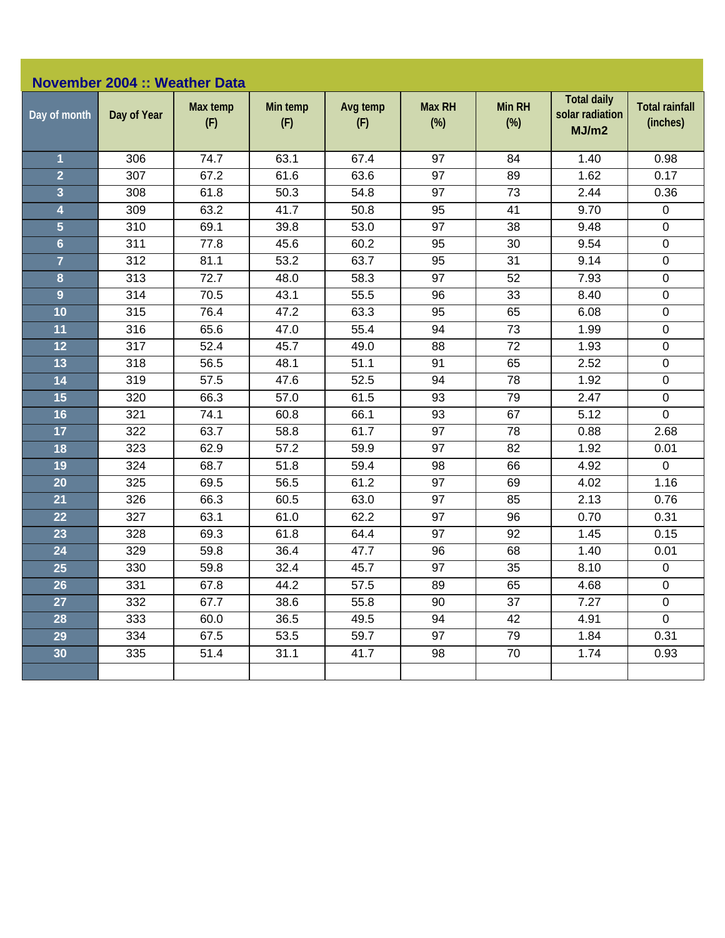|                         | <b>November 2004 :: Weather Data</b> |                 |                 |                 |                         |                         |                                                |                                   |
|-------------------------|--------------------------------------|-----------------|-----------------|-----------------|-------------------------|-------------------------|------------------------------------------------|-----------------------------------|
| Day of month            | Day of Year                          | Max temp<br>(F) | Min temp<br>(F) | Avg temp<br>(F) | <b>Max RH</b><br>$(\%)$ | <b>Min RH</b><br>$(\%)$ | <b>Total daily</b><br>solar radiation<br>MJ/m2 | <b>Total rainfall</b><br>(inches) |
| 1                       | 306                                  | 74.7            | 63.1            | 67.4            | 97                      | 84                      | 1.40                                           | 0.98                              |
| $\overline{2}$          | 307                                  | 67.2            | 61.6            | 63.6            | 97                      | 89                      | 1.62                                           | 0.17                              |
| $\overline{\mathbf{3}}$ | 308                                  | 61.8            | 50.3            | 54.8            | 97                      | 73                      | 2.44                                           | 0.36                              |
| $\overline{\mathbf{4}}$ | 309                                  | 63.2            | 41.7            | 50.8            | 95                      | 41                      | 9.70                                           | $\pmb{0}$                         |
| $\overline{\mathbf{5}}$ | 310                                  | 69.1            | 39.8            | 53.0            | 97                      | 38                      | 9.48                                           | $\mathbf 0$                       |
| $6\phantom{a}$          | 311                                  | 77.8            | 45.6            | 60.2            | 95                      | 30                      | 9.54                                           | $\pmb{0}$                         |
| $\overline{7}$          | 312                                  | 81.1            | 53.2            | 63.7            | 95                      | 31                      | 9.14                                           | 0                                 |
| 8                       | 313                                  | 72.7            | 48.0            | 58.3            | 97                      | 52                      | 7.93                                           | $\pmb{0}$                         |
| $\overline{9}$          | 314                                  | 70.5            | 43.1            | 55.5            | 96                      | 33                      | 8.40                                           | $\pmb{0}$                         |
| 10                      | 315                                  | 76.4            | 47.2            | 63.3            | 95                      | 65                      | 6.08                                           | $\mathbf 0$                       |
| 11                      | 316                                  | 65.6            | 47.0            | 55.4            | 94                      | 73                      | 1.99                                           | $\pmb{0}$                         |
| 12                      | 317                                  | 52.4            | 45.7            | 49.0            | 88                      | 72                      | 1.93                                           | 0                                 |
| 13                      | 318                                  | 56.5            | 48.1            | 51.1            | 91                      | 65                      | 2.52                                           | $\mathbf 0$                       |
| 14                      | 319                                  | 57.5            | 47.6            | 52.5            | 94                      | 78                      | 1.92                                           | $\mathsf 0$                       |
| 15                      | 320                                  | 66.3            | 57.0            | 61.5            | 93                      | 79                      | 2.47                                           | $\mathbf 0$                       |
| 16                      | 321                                  | 74.1            | 60.8            | 66.1            | 93                      | 67                      | 5.12                                           | 0                                 |
| 17                      | 322                                  | 63.7            | 58.8            | 61.7            | 97                      | 78                      | 0.88                                           | 2.68                              |
| 18                      | 323                                  | 62.9            | 57.2            | 59.9            | 97                      | 82                      | 1.92                                           | 0.01                              |
| 19                      | 324                                  | 68.7            | 51.8            | 59.4            | 98                      | 66                      | 4.92                                           | $\mathbf 0$                       |
| 20                      | 325                                  | 69.5            | 56.5            | 61.2            | 97                      | 69                      | 4.02                                           | 1.16                              |
| 21                      | 326                                  | 66.3            | 60.5            | 63.0            | 97                      | 85                      | 2.13                                           | 0.76                              |
| 22                      | 327                                  | 63.1            | 61.0            | 62.2            | 97                      | 96                      | 0.70                                           | 0.31                              |
| 23                      | 328                                  | 69.3            | 61.8            | 64.4            | 97                      | 92                      | 1.45                                           | 0.15                              |
| 24                      | 329                                  | 59.8            | 36.4            | 47.7            | 96                      | 68                      | 1.40                                           | 0.01                              |
| 25                      | 330                                  | 59.8            | 32.4            | 45.7            | 97                      | 35                      | 8.10                                           | $\pmb{0}$                         |
| 26                      | 331                                  | 67.8            | 44.2            | 57.5            | 89                      | 65                      | 4.68                                           | $\pmb{0}$                         |
| 27                      | 332                                  | 67.7            | 38.6            | 55.8            | 90                      | 37                      | 7.27                                           | $\mathbf 0$                       |
| 28                      | 333                                  | 60.0            | 36.5            | 49.5            | 94                      | 42                      | 4.91                                           | $\pmb{0}$                         |
| 29                      | 334                                  | 67.5            | 53.5            | 59.7            | 97                      | 79                      | 1.84                                           | 0.31                              |
| 30                      | 335                                  | 51.4            | 31.1            | 41.7            | 98                      | 70                      | 1.74                                           | 0.93                              |
|                         |                                      |                 |                 |                 |                         |                         |                                                |                                   |